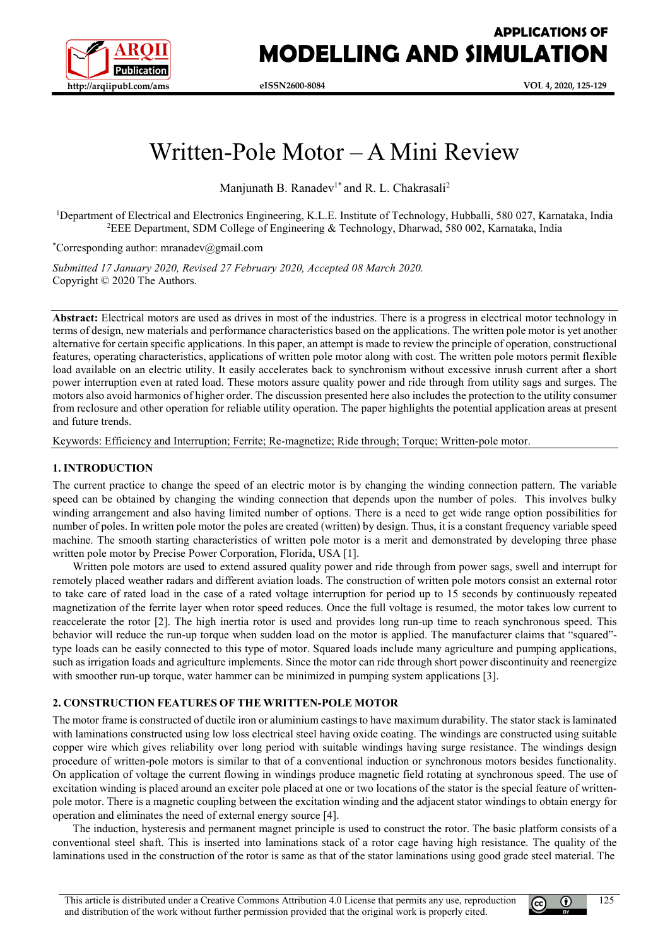

# **APPLICATIONS OF MODELLING AND SIMULATION**

# Written-Pole Motor – A Mini Review

Manjunath B. Ranadev<sup>1\*</sup> and R. L. Chakrasali<sup>2</sup>

<sup>1</sup>Department of Electrical and Electronics Engineering, K.L.E. Institute of Technology, Hubballi, 580 027, Karnataka, India 2 EEE Department, SDM College of Engineering & Technology, Dharwad, 580 002, Karnataka, India

\* Corresponding author: mranadev@gmail.com

*Submitted 17 January 2020, Revised 27 February 2020, Accepted 08 March 2020.* Copyright © 2020 The Authors.

**Abstract:** Electrical motors are used as drives in most of the industries. There is a progress in electrical motor technology in terms of design, new materials and performance characteristics based on the applications. The written pole motor is yet another alternative for certain specific applications. In this paper, an attempt is made to review the principle of operation, constructional features, operating characteristics, applications of written pole motor along with cost. The written pole motors permit flexible load available on an electric utility. It easily accelerates back to synchronism without excessive inrush current after a short power interruption even at rated load. These motors assure quality power and ride through from utility sags and surges. The motors also avoid harmonics of higher order. The discussion presented here also includes the protection to the utility consumer from reclosure and other operation for reliable utility operation. The paper highlights the potential application areas at present and future trends.

Keywords: Efficiency and Interruption; Ferrite; Re-magnetize; Ride through; Torque; Written-pole motor.

# **1. INTRODUCTION**

The current practice to change the speed of an electric motor is by changing the winding connection pattern. The variable speed can be obtained by changing the winding connection that depends upon the number of poles. This involves bulky winding arrangement and also having limited number of options. There is a need to get wide range option possibilities for number of poles. In written pole motor the poles are created (written) by design. Thus, it is a constant frequency variable speed machine. The smooth starting characteristics of written pole motor is a merit and demonstrated by developing three phase written pole motor by Precise Power Corporation, Florida, USA [1].

Written pole motors are used to extend assured quality power and ride through from power sags, swell and interrupt for remotely placed weather radars and different aviation loads. The construction of written pole motors consist an external rotor to take care of rated load in the case of a rated voltage interruption for period up to 15 seconds by continuously repeated magnetization of the ferrite layer when rotor speed reduces. Once the full voltage is resumed, the motor takes low current to reaccelerate the rotor [2]. The high inertia rotor is used and provides long run-up time to reach synchronous speed. This behavior will reduce the run-up torque when sudden load on the motor is applied. The manufacturer claims that "squared" type loads can be easily connected to this type of motor. Squared loads include many agriculture and pumping applications, such as irrigation loads and agriculture implements. Since the motor can ride through short power discontinuity and reenergize with smoother run-up torque, water hammer can be minimized in pumping system applications [3].

### **2. CONSTRUCTION FEATURES OF THE WRITTEN-POLE MOTOR**

The motor frame is constructed of ductile iron or aluminium castings to have maximum durability. The stator stack is laminated with laminations constructed using low loss electrical steel having oxide coating. The windings are constructed using suitable copper wire which gives reliability over long period with suitable windings having surge resistance. The windings design procedure of written-pole motors is similar to that of a conventional induction or synchronous motors besides functionality. On application of voltage the current flowing in windings produce magnetic field rotating at synchronous speed. The use of excitation winding is placed around an exciter pole placed at one or two locations of the stator is the special feature of writtenpole motor. There is a magnetic coupling between the excitation winding and the adjacent stator windings to obtain energy for operation and eliminates the need of external energy source [4].

The induction, hysteresis and permanent magnet principle is used to construct the rotor. The basic platform consists of a conventional steel shaft. This is inserted into laminations stack of a rotor cage having high resistance. The quality of the laminations used in the construction of the rotor is same as that of the stator laminations using good grade steel material. The

 $(c<sub>c</sub>)$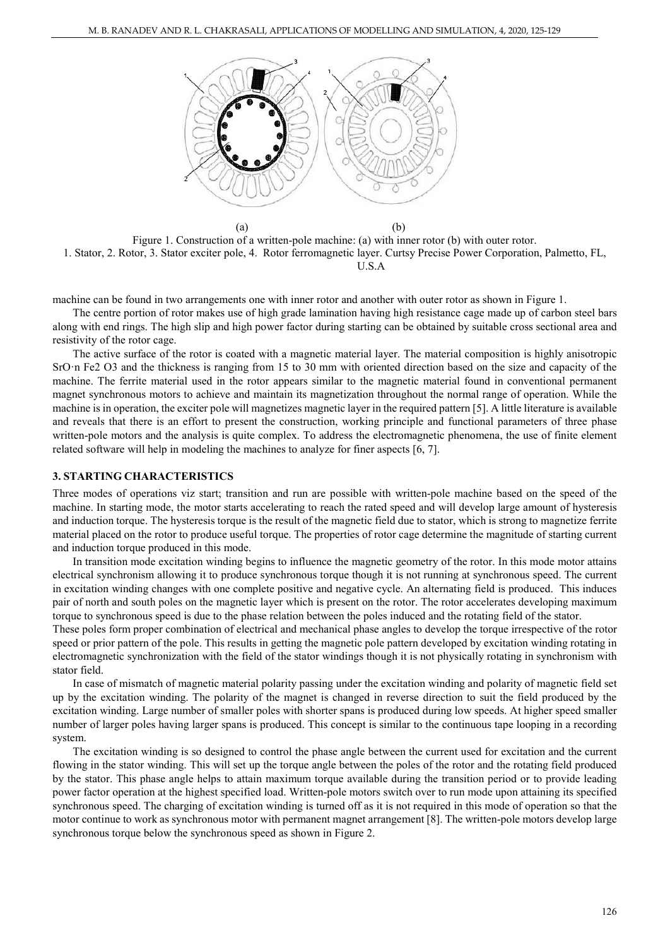

 $(a)$  (b) Figure 1. Construction of a written-pole machine: (a) with inner rotor (b) with outer rotor. 1. Stator, 2. Rotor, 3. Stator exciter pole, 4. Rotor ferromagnetic layer. Curtsy Precise Power Corporation, Palmetto, FL, U.S.A

machine can be found in two arrangements one with inner rotor and another with outer rotor as shown in Figure 1.

The centre portion of rotor makes use of high grade lamination having high resistance cage made up of carbon steel bars along with end rings. The high slip and high power factor during starting can be obtained by suitable cross sectional area and resistivity of the rotor cage.

The active surface of the rotor is coated with a magnetic material layer. The material composition is highly anisotropic SrO·n Fe2 O3 and the thickness is ranging from 15 to 30 mm with oriented direction based on the size and capacity of the machine. The ferrite material used in the rotor appears similar to the magnetic material found in conventional permanent magnet synchronous motors to achieve and maintain its magnetization throughout the normal range of operation. While the machine is in operation, the exciter pole will magnetizes magnetic layer in the required pattern [5]. A little literature is available and reveals that there is an effort to present the construction, working principle and functional parameters of three phase written-pole motors and the analysis is quite complex. To address the electromagnetic phenomena, the use of finite element related software will help in modeling the machines to analyze for finer aspects [6, 7].

#### **3. STARTING CHARACTERISTICS**

Three modes of operations viz start; transition and run are possible with written-pole machine based on the speed of the machine. In starting mode, the motor starts accelerating to reach the rated speed and will develop large amount of hysteresis and induction torque. The hysteresis torque is the result of the magnetic field due to stator, which is strong to magnetize ferrite material placed on the rotor to produce useful torque. The properties of rotor cage determine the magnitude of starting current and induction torque produced in this mode.

In transition mode excitation winding begins to influence the magnetic geometry of the rotor. In this mode motor attains electrical synchronism allowing it to produce synchronous torque though it is not running at synchronous speed. The current in excitation winding changes with one complete positive and negative cycle. An alternating field is produced. This induces pair of north and south poles on the magnetic layer which is present on the rotor. The rotor accelerates developing maximum torque to synchronous speed is due to the phase relation between the poles induced and the rotating field of the stator.

These poles form proper combination of electrical and mechanical phase angles to develop the torque irrespective of the rotor speed or prior pattern of the pole. This results in getting the magnetic pole pattern developed by excitation winding rotating in electromagnetic synchronization with the field of the stator windings though it is not physically rotating in synchronism with stator field.

In case of mismatch of magnetic material polarity passing under the excitation winding and polarity of magnetic field set up by the excitation winding. The polarity of the magnet is changed in reverse direction to suit the field produced by the excitation winding. Large number of smaller poles with shorter spans is produced during low speeds. At higher speed smaller number of larger poles having larger spans is produced. This concept is similar to the continuous tape looping in a recording system.

The excitation winding is so designed to control the phase angle between the current used for excitation and the current flowing in the stator winding. This will set up the torque angle between the poles of the rotor and the rotating field produced by the stator. This phase angle helps to attain maximum torque available during the transition period or to provide leading power factor operation at the highest specified load. Written-pole motors switch over to run mode upon attaining its specified synchronous speed. The charging of excitation winding is turned off as it is not required in this mode of operation so that the motor continue to work as synchronous motor with permanent magnet arrangement [8]. The written-pole motors develop large synchronous torque below the synchronous speed as shown in Figure 2.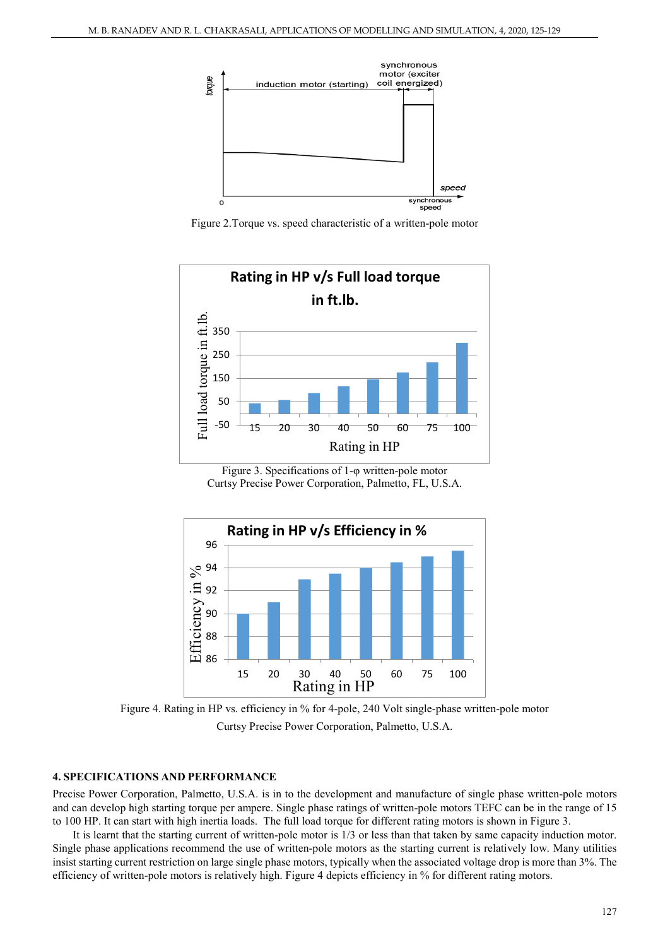

Figure 2.Torque vs. speed characteristic of a written-pole motor



Figure 3. Specifications of 1-φ written-pole motor Curtsy Precise Power Corporation, Palmetto, FL, U.S.A.



Figure 4. Rating in HP vs. efficiency in % for 4-pole, 240 Volt single-phase written-pole motor Curtsy Precise Power Corporation, Palmetto, U.S.A.

#### **4. SPECIFICATIONS AND PERFORMANCE**

Precise Power Corporation, Palmetto, U.S.A. is in to the development and manufacture of single phase written-pole motors and can develop high starting torque per ampere. Single phase ratings of written-pole motors TEFC can be in the range of 15 to 100 HP. It can start with high inertia loads. The full load torque for different rating motors is shown in Figure 3.

It is learnt that the starting current of written-pole motor is 1/3 or less than that taken by same capacity induction motor. Single phase applications recommend the use of written-pole motors as the starting current is relatively low. Many utilities insist starting current restriction on large single phase motors, typically when the associated voltage drop is more than 3%. The efficiency of written-pole motors is relatively high. Figure 4 depicts efficiency in % for different rating motors.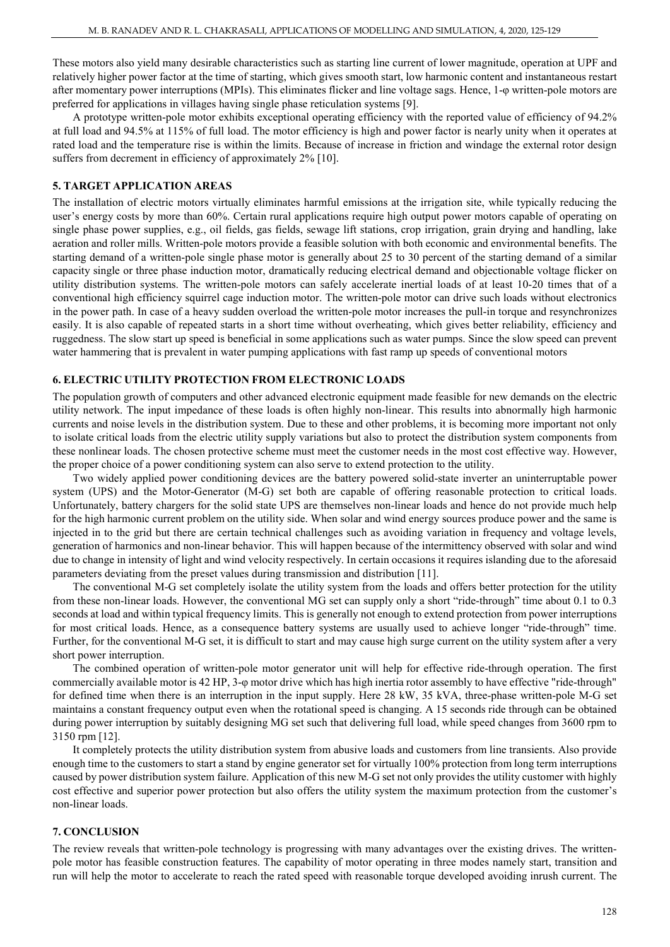These motors also yield many desirable characteristics such as starting line current of lower magnitude, operation at UPF and relatively higher power factor at the time of starting, which gives smooth start, low harmonic content and instantaneous restart after momentary power interruptions (MPIs). This eliminates flicker and line voltage sags. Hence, 1-φ written-pole motors are preferred for applications in villages having single phase reticulation systems [9].

A prototype written-pole motor exhibits exceptional operating efficiency with the reported value of efficiency of 94.2% at full load and 94.5% at 115% of full load. The motor efficiency is high and power factor is nearly unity when it operates at rated load and the temperature rise is within the limits. Because of increase in friction and windage the external rotor design suffers from decrement in efficiency of approximately 2% [10].

#### **5. TARGET APPLICATION AREAS**

The installation of electric motors virtually eliminates harmful emissions at the irrigation site, while typically reducing the user's energy costs by more than 60%. Certain rural applications require high output power motors capable of operating on single phase power supplies, e.g., oil fields, gas fields, sewage lift stations, crop irrigation, grain drying and handling, lake aeration and roller mills. Written-pole motors provide a feasible solution with both economic and environmental benefits. The starting demand of a written-pole single phase motor is generally about 25 to 30 percent of the starting demand of a similar capacity single or three phase induction motor, dramatically reducing electrical demand and objectionable voltage flicker on utility distribution systems. The written-pole motors can safely accelerate inertial loads of at least 10-20 times that of a conventional high efficiency squirrel cage induction motor. The written-pole motor can drive such loads without electronics in the power path. In case of a heavy sudden overload the written-pole motor increases the pull-in torque and resynchronizes easily. It is also capable of repeated starts in a short time without overheating, which gives better reliability, efficiency and ruggedness. The slow start up speed is beneficial in some applications such as water pumps. Since the slow speed can prevent water hammering that is prevalent in water pumping applications with fast ramp up speeds of conventional motors

#### **6. ELECTRIC UTILITY PROTECTION FROM ELECTRONIC LOADS**

The population growth of computers and other advanced electronic equipment made feasible for new demands on the electric utility network. The input impedance of these loads is often highly non-linear. This results into abnormally high harmonic currents and noise levels in the distribution system. Due to these and other problems, it is becoming more important not only to isolate critical loads from the electric utility supply variations but also to protect the distribution system components from these nonlinear loads. The chosen protective scheme must meet the customer needs in the most cost effective way. However, the proper choice of a power conditioning system can also serve to extend protection to the utility.

Two widely applied power conditioning devices are the battery powered solid-state inverter an uninterruptable power system (UPS) and the Motor-Generator (M-G) set both are capable of offering reasonable protection to critical loads. Unfortunately, battery chargers for the solid state UPS are themselves non-linear loads and hence do not provide much help for the high harmonic current problem on the utility side. When solar and wind energy sources produce power and the same is injected in to the grid but there are certain technical challenges such as avoiding variation in frequency and voltage levels, generation of harmonics and non-linear behavior. This will happen because of the intermittency observed with solar and wind due to change in intensity of light and wind velocity respectively. In certain occasions it requires islanding due to the aforesaid parameters deviating from the preset values during transmission and distribution [11].

The conventional M-G set completely isolate the utility system from the loads and offers better protection for the utility from these non-linear loads. However, the conventional MG set can supply only a short "ride-through" time about 0.1 to 0.3 seconds at load and within typical frequency limits. This is generally not enough to extend protection from power interruptions for most critical loads. Hence, as a consequence battery systems are usually used to achieve longer "ride-through" time. Further, for the conventional M-G set, it is difficult to start and may cause high surge current on the utility system after a very short power interruption.

The combined operation of written-pole motor generator unit will help for effective ride-through operation. The first commercially available motor is 42 HP, 3-φ motor drive which has high inertia rotor assembly to have effective "ride-through" for defined time when there is an interruption in the input supply. Here 28 kW, 35 kVA, three-phase written-pole M-G set maintains a constant frequency output even when the rotational speed is changing. A 15 seconds ride through can be obtained during power interruption by suitably designing MG set such that delivering full load, while speed changes from 3600 rpm to 3150 rpm [12].

It completely protects the utility distribution system from abusive loads and customers from line transients. Also provide enough time to the customers to start a stand by engine generator set for virtually 100% protection from long term interruptions caused by power distribution system failure. Application of this new M-G set not only provides the utility customer with highly cost effective and superior power protection but also offers the utility system the maximum protection from the customer's non-linear loads.

#### **7. CONCLUSION**

The review reveals that written-pole technology is progressing with many advantages over the existing drives. The writtenpole motor has feasible construction features. The capability of motor operating in three modes namely start, transition and run will help the motor to accelerate to reach the rated speed with reasonable torque developed avoiding inrush current. The